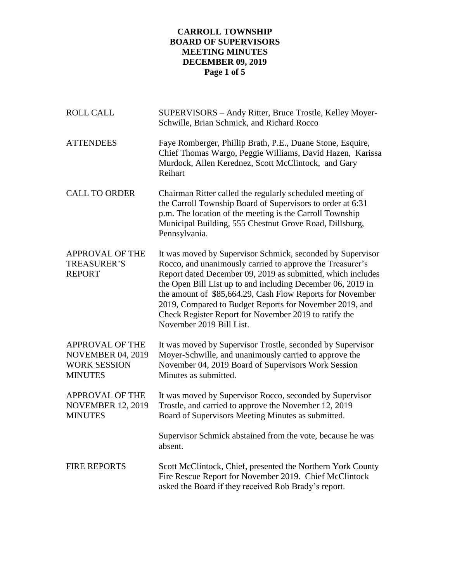# **CARROLL TOWNSHIP BOARD OF SUPERVISORS MEETING MINUTES DECEMBER 09, 2019 Page 1 of 5**

| <b>ROLL CALL</b>                                                                            | SUPERVISORS - Andy Ritter, Bruce Trostle, Kelley Moyer-<br>Schwille, Brian Schmick, and Richard Rocco                                                                                                                                                                                                                                                                                                                                                              |
|---------------------------------------------------------------------------------------------|--------------------------------------------------------------------------------------------------------------------------------------------------------------------------------------------------------------------------------------------------------------------------------------------------------------------------------------------------------------------------------------------------------------------------------------------------------------------|
| <b>ATTENDEES</b>                                                                            | Faye Romberger, Phillip Brath, P.E., Duane Stone, Esquire,<br>Chief Thomas Wargo, Peggie Williams, David Hazen, Karissa<br>Murdock, Allen Kerednez, Scott McClintock, and Gary<br>Reihart                                                                                                                                                                                                                                                                          |
| <b>CALL TO ORDER</b>                                                                        | Chairman Ritter called the regularly scheduled meeting of<br>the Carroll Township Board of Supervisors to order at 6:31<br>p.m. The location of the meeting is the Carroll Township<br>Municipal Building, 555 Chestnut Grove Road, Dillsburg,<br>Pennsylvania.                                                                                                                                                                                                    |
| <b>APPROVAL OF THE</b><br><b>TREASURER'S</b><br><b>REPORT</b>                               | It was moved by Supervisor Schmick, seconded by Supervisor<br>Rocco, and unanimously carried to approve the Treasurer's<br>Report dated December 09, 2019 as submitted, which includes<br>the Open Bill List up to and including December 06, 2019 in<br>the amount of \$85,664.29, Cash Flow Reports for November<br>2019, Compared to Budget Reports for November 2019, and<br>Check Register Report for November 2019 to ratify the<br>November 2019 Bill List. |
| <b>APPROVAL OF THE</b><br><b>NOVEMBER 04, 2019</b><br><b>WORK SESSION</b><br><b>MINUTES</b> | It was moved by Supervisor Trostle, seconded by Supervisor<br>Moyer-Schwille, and unanimously carried to approve the<br>November 04, 2019 Board of Supervisors Work Session<br>Minutes as submitted.                                                                                                                                                                                                                                                               |
| <b>APPROVAL OF THE</b><br><b>NOVEMBER 12, 2019</b><br><b>MINUTES</b>                        | It was moved by Supervisor Rocco, seconded by Supervisor<br>Trostle, and carried to approve the November 12, 2019<br>Board of Supervisors Meeting Minutes as submitted.                                                                                                                                                                                                                                                                                            |
|                                                                                             | Supervisor Schmick abstained from the vote, because he was<br>absent.                                                                                                                                                                                                                                                                                                                                                                                              |
| <b>FIRE REPORTS</b>                                                                         | Scott McClintock, Chief, presented the Northern York County<br>Fire Rescue Report for November 2019. Chief McClintock<br>asked the Board if they received Rob Brady's report.                                                                                                                                                                                                                                                                                      |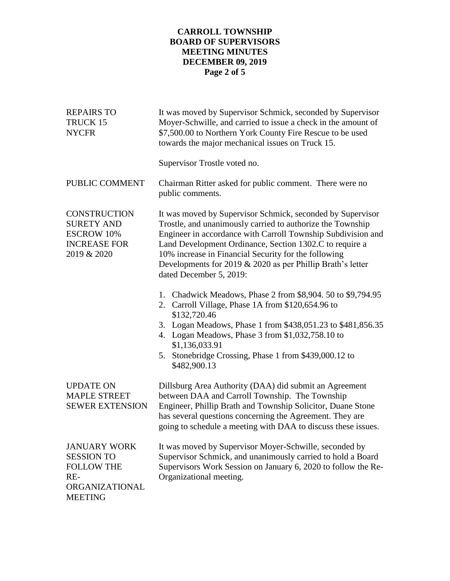# **CARROLL TOWNSHIP BOARD OF SUPERVISORS MEETING MINUTES DECEMBER 09, 2019 Page 2 of 5**

| <b>REPAIRS TO</b><br>TRUCK 15<br><b>NYCFR</b>                                                              | It was moved by Supervisor Schmick, seconded by Supervisor<br>Moyer-Schwille, and carried to issue a check in the amount of<br>\$7,500.00 to Northern York County Fire Rescue to be used<br>towards the major mechanical issues on Truck 15.                                                                                                                                                           |
|------------------------------------------------------------------------------------------------------------|--------------------------------------------------------------------------------------------------------------------------------------------------------------------------------------------------------------------------------------------------------------------------------------------------------------------------------------------------------------------------------------------------------|
|                                                                                                            | Supervisor Trostle voted no.                                                                                                                                                                                                                                                                                                                                                                           |
| PUBLIC COMMENT                                                                                             | Chairman Ritter asked for public comment. There were no<br>public comments.                                                                                                                                                                                                                                                                                                                            |
| <b>CONSTRUCTION</b><br><b>SURETY AND</b><br><b>ESCROW 10%</b><br><b>INCREASE FOR</b><br>2019 & 2020        | It was moved by Supervisor Schmick, seconded by Supervisor<br>Trostle, and unanimously carried to authorize the Township<br>Engineer in accordance with Carroll Township Subdivision and<br>Land Development Ordinance, Section 1302.C to require a<br>10% increase in Financial Security for the following<br>Developments for 2019 $& 2020$ as per Phillip Brath's letter<br>dated December 5, 2019: |
|                                                                                                            | 1. Chadwick Meadows, Phase 2 from \$8,904.50 to \$9,794.95<br>2. Carroll Village, Phase 1A from \$120,654.96 to<br>\$132,720.46<br>3. Logan Meadows, Phase 1 from \$438,051.23 to \$481,856.35<br>4. Logan Meadows, Phase 3 from \$1,032,758.10 to<br>\$1,136,033.91<br>Stonebridge Crossing, Phase 1 from \$439,000.12 to<br>5.<br>\$482,900.13                                                       |
| <b>UPDATE ON</b><br><b>MAPLE STREET</b><br><b>SEWER EXTENSION</b>                                          | Dillsburg Area Authority (DAA) did submit an Agreement<br>between DAA and Carroll Township. The Township<br>Engineer, Phillip Brath and Township Solicitor, Duane Stone<br>has several questions concerning the Agreement. They are<br>going to schedule a meeting with DAA to discuss these issues.                                                                                                   |
| <b>JANUARY WORK</b><br><b>SESSION TO</b><br><b>FOLLOW THE</b><br>$RE-$<br>ORGANIZATIONAL<br><b>MEETING</b> | It was moved by Supervisor Moyer-Schwille, seconded by<br>Supervisor Schmick, and unanimously carried to hold a Board<br>Supervisors Work Session on January 6, 2020 to follow the Re-<br>Organizational meeting.                                                                                                                                                                                      |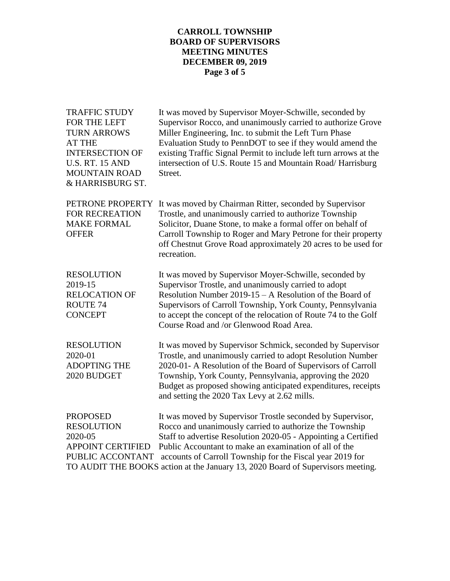## **CARROLL TOWNSHIP BOARD OF SUPERVISORS MEETING MINUTES DECEMBER 09, 2019 Page 3 of 5**

| <b>TRAFFIC STUDY</b><br>FOR THE LEFT<br><b>TURN ARROWS</b><br><b>AT THE</b><br><b>INTERSECTION OF</b><br><b>U.S. RT. 15 AND</b><br><b>MOUNTAIN ROAD</b><br>& HARRISBURG ST. | It was moved by Supervisor Moyer-Schwille, seconded by<br>Supervisor Rocco, and unanimously carried to authorize Grove<br>Miller Engineering, Inc. to submit the Left Turn Phase<br>Evaluation Study to PennDOT to see if they would amend the<br>existing Traffic Signal Permit to include left turn arrows at the<br>intersection of U.S. Route 15 and Mountain Road/ Harrisburg<br>Street.     |
|-----------------------------------------------------------------------------------------------------------------------------------------------------------------------------|---------------------------------------------------------------------------------------------------------------------------------------------------------------------------------------------------------------------------------------------------------------------------------------------------------------------------------------------------------------------------------------------------|
| PETRONE PROPERTY<br>FOR RECREATION<br><b>MAKE FORMAL</b><br><b>OFFER</b>                                                                                                    | It was moved by Chairman Ritter, seconded by Supervisor<br>Trostle, and unanimously carried to authorize Township<br>Solicitor, Duane Stone, to make a formal offer on behalf of<br>Carroll Township to Roger and Mary Petrone for their property<br>off Chestnut Grove Road approximately 20 acres to be used for<br>recreation.                                                                 |
| <b>RESOLUTION</b><br>2019-15<br><b>RELOCATION OF</b><br>ROUTE <sub>74</sub><br><b>CONCEPT</b>                                                                               | It was moved by Supervisor Moyer-Schwille, seconded by<br>Supervisor Trostle, and unanimously carried to adopt<br>Resolution Number 2019-15 – A Resolution of the Board of<br>Supervisors of Carroll Township, York County, Pennsylvania<br>to accept the concept of the relocation of Route 74 to the Golf<br>Course Road and /or Glenwood Road Area.                                            |
| <b>RESOLUTION</b><br>2020-01<br><b>ADOPTING THE</b><br>2020 BUDGET                                                                                                          | It was moved by Supervisor Schmick, seconded by Supervisor<br>Trostle, and unanimously carried to adopt Resolution Number<br>2020-01- A Resolution of the Board of Supervisors of Carroll<br>Township, York County, Pennsylvania, approving the 2020<br>Budget as proposed showing anticipated expenditures, receipts<br>and setting the 2020 Tax Levy at 2.62 mills.                             |
| <b>PROPOSED</b><br><b>RESOLUTION</b><br>2020-05<br><b>APPOINT CERTIFIED</b><br>PUBLIC ACCONTANT                                                                             | It was moved by Supervisor Trostle seconded by Supervisor,<br>Rocco and unanimously carried to authorize the Township<br>Staff to advertise Resolution 2020-05 - Appointing a Certified<br>Public Accountant to make an examination of all of the<br>accounts of Carroll Township for the Fiscal year 2019 for<br>TO AUDIT THE BOOKS action at the January 13, 2020 Board of Supervisors meeting. |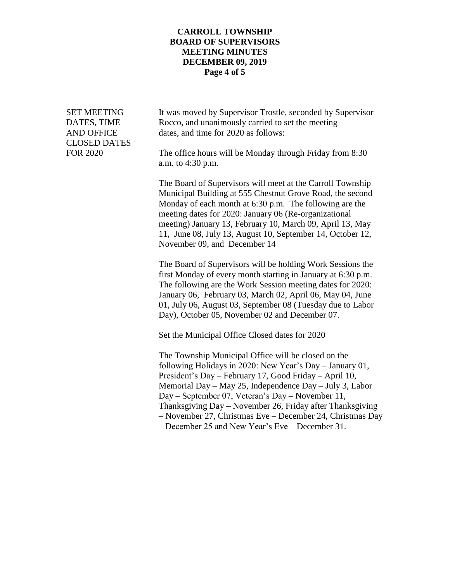#### **CARROLL TOWNSHIP BOARD OF SUPERVISORS MEETING MINUTES DECEMBER 09, 2019 Page 4 of 5**

CLOSED DATES

SET MEETING It was moved by Supervisor Trostle, seconded by Supervisor DATES, TIME Rocco, and unanimously carried to set the meeting AND OFFICE dates, and time for 2020 as follows:

FOR 2020 The office hours will be Monday through Friday from 8:30 a.m. to 4:30 p.m.

> The Board of Supervisors will meet at the Carroll Township Municipal Building at 555 Chestnut Grove Road, the second Monday of each month at 6:30 p.m. The following are the meeting dates for 2020: January 06 (Re-organizational meeting) January 13, February 10, March 09, April 13, May 11, June 08, July 13, August 10, September 14, October 12, November 09, and December 14

> The Board of Supervisors will be holding Work Sessions the first Monday of every month starting in January at 6:30 p.m. The following are the Work Session meeting dates for 2020: January 06, February 03, March 02, April 06, May 04, June 01, July 06, August 03, September 08 (Tuesday due to Labor Day), October 05, November 02 and December 07.

Set the Municipal Office Closed dates for 2020

The Township Municipal Office will be closed on the following Holidays in 2020: New Year's Day – January 01, President's Day – February 17, Good Friday – April 10, Memorial Day – May 25, Independence Day – July 3, Labor Day – September 07, Veteran's Day – November 11, Thanksgiving Day – November 26, Friday after Thanksgiving – November 27, Christmas Eve – December 24, Christmas Day – December 25 and New Year's Eve – December 31.